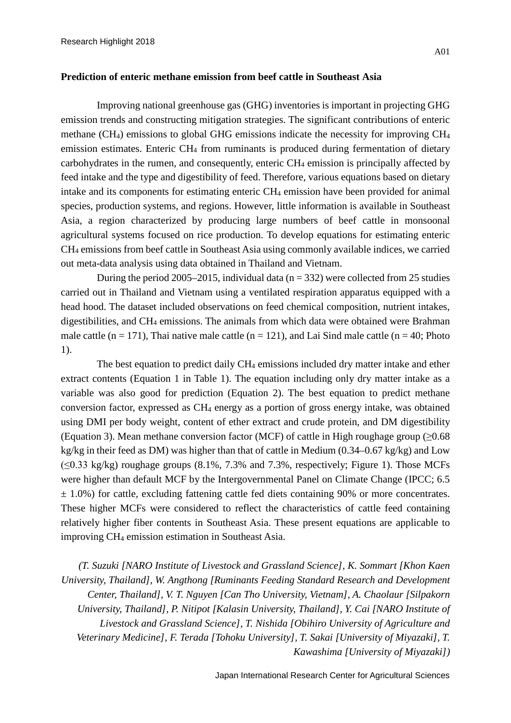## **Prediction of enteric methane emission from beef cattle in Southeast Asia**

Improving national greenhouse gas (GHG) inventories is important in projecting GHG emission trends and constructing mitigation strategies. The significant contributions of enteric methane (CH<sub>4</sub>) emissions to global GHG emissions indicate the necessity for improving  $CH<sub>4</sub>$ emission estimates. Enteric CH4 from ruminants is produced during fermentation of dietary carbohydrates in the rumen, and consequently, enteric CH4 emission is principally affected by feed intake and the type and digestibility of feed. Therefore, various equations based on dietary intake and its components for estimating enteric CH4 emission have been provided for animal species, production systems, and regions. However, little information is available in Southeast Asia, a region characterized by producing large numbers of beef cattle in monsoonal agricultural systems focused on rice production. To develop equations for estimating enteric CH4 emissions from beef cattle in Southeast Asia using commonly available indices, we carried out meta-data analysis using data obtained in Thailand and Vietnam.

During the period 2005–2015, individual data ( $n = 332$ ) were collected from 25 studies carried out in Thailand and Vietnam using a ventilated respiration apparatus equipped with a head hood. The dataset included observations on feed chemical composition, nutrient intakes, digestibilities, and CH4 emissions. The animals from which data were obtained were Brahman male cattle  $(n = 171)$ , Thai native male cattle  $(n = 121)$ , and Lai Sind male cattle  $(n = 40)$ ; Photo 1).

The best equation to predict daily CH<sub>4</sub> emissions included dry matter intake and ether extract contents (Equation 1 in Table 1). The equation including only dry matter intake as a variable was also good for prediction (Equation 2). The best equation to predict methane conversion factor, expressed as CH4 energy as a portion of gross energy intake, was obtained using DMI per body weight, content of ether extract and crude protein, and DM digestibility (Equation 3). Mean methane conversion factor (MCF) of cattle in High roughage group ( $\geq 0.68$ ) kg/kg in their feed as DM) was higher than that of cattle in Medium (0.34–0.67 kg/kg) and Low  $(\leq 0.33 \text{ kg/kg})$  roughage groups  $(8.1\%), 7.3\%$  and 7.3%, respectively; Figure 1). Those MCFs were higher than default MCF by the Intergovernmental Panel on Climate Change (IPCC; 6.5  $\pm$  1.0%) for cattle, excluding fattening cattle fed diets containing 90% or more concentrates. These higher MCFs were considered to reflect the characteristics of cattle feed containing relatively higher fiber contents in Southeast Asia. These present equations are applicable to improving CH4 emission estimation in Southeast Asia.

*(T. Suzuki [NARO Institute of Livestock and Grassland Science], K. Sommart [Khon Kaen University, Thailand], W. Angthong [Ruminants Feeding Standard Research and Development Center, Thailand], V. T. Nguyen [Can Tho University, Vietnam], A. Chaolaur [Silpakorn University, Thailand], P. Nitipot [Kalasin University, Thailand], Y. Cai [NARO Institute of Livestock and Grassland Science], T. Nishida [Obihiro University of Agriculture and Veterinary Medicine], F. Terada [Tohoku University], T. Sakai [University of Miyazaki], T. Kawashima [University of Miyazaki])*

Japan International Research Center for Agricultural Sciences